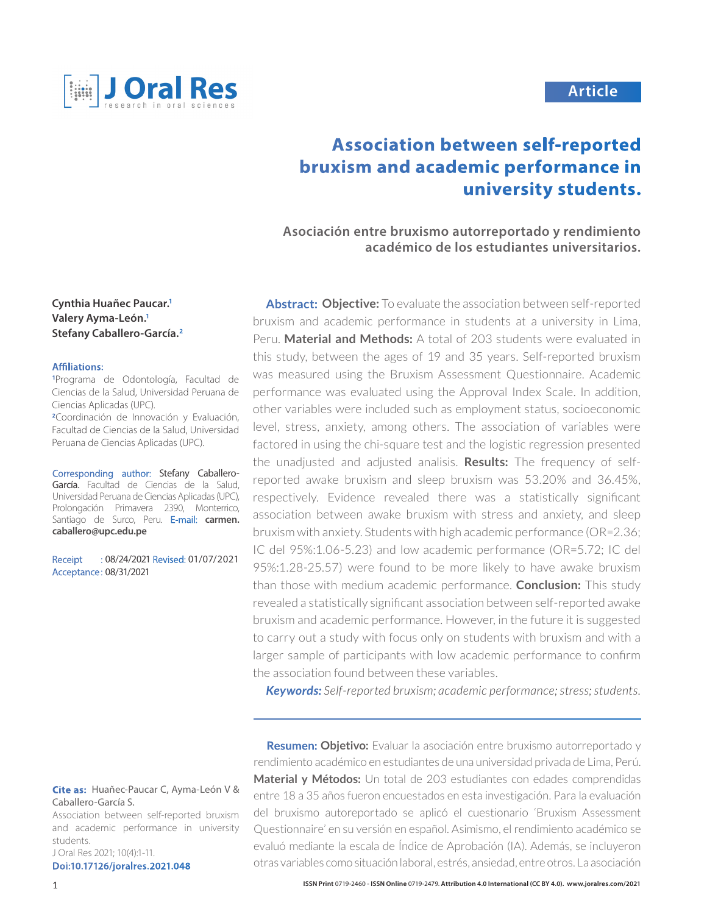

# **Article**

# **Association between self-reported bruxism and academic performance in university students.**

**Asociación entre bruxismo autorreportado y rendimiento académico de los estudiantes universitarios.** 

**Cynthia Huañec Paucar.1 Valery Ayma-León.1 Stefany Caballero-García.2**

#### **Affiliations:**

**1** Programa de Odontología, Facultad de Ciencias de la Salud, Universidad Peruana de Ciencias Aplicadas (UPC). **<sup>2</sup>**Coordinación de Innovación y Evaluación, Facultad de Ciencias de la Salud, Universidad Peruana de Ciencias Aplicadas (UPC).

Corresponding author: Stefany Caballero-García. Facultad de Ciencias de la Salud, Universidad Peruana de Ciencias Aplicadas (UPC), Prolongación Primavera 2390, Monterrico, Santiago de Surco, Peru. E-mail: **carmen. caballero@upc.edu.pe**

Receipt : 08/24/2021 Revised: 01/07/2021 Acceptance: 08/31/2021

#### **Cite as:** Huañec-Paucar C, Ayma-León V & Caballero-García S.

Association between self-reported bruxism and academic performance in university students.

J Oral Res 2021; 10(4):1-11. **Doi:10.17126/joralres.2021.048**

**Abstract: Objective:** To evaluate the association between self-reported bruxism and academic performance in students at a university in Lima, Peru. **Material and Methods:** A total of 203 students were evaluated in this study, between the ages of 19 and 35 years. Self-reported bruxism was measured using the Bruxism Assessment Questionnaire. Academic performance was evaluated using the Approval Index Scale. In addition, other variables were included such as employment status, socioeconomic level, stress, anxiety, among others. The association of variables were factored in using the chi-square test and the logistic regression presented the unadjusted and adjusted analisis. **Results:** The frequency of selfreported awake bruxism and sleep bruxism was 53.20% and 36.45%, respectively. Evidence revealed there was a statistically significant association between awake bruxism with stress and anxiety, and sleep bruxism with anxiety. Students with high academic performance (OR=2.36; IC del 95%:1.06-5.23) and low academic performance (OR=5.72; IC del 95%:1.28-25.57) were found to be more likely to have awake bruxism than those with medium academic performance. **Conclusion:** This study revealed a statistically significant association between self-reported awake bruxism and academic performance. However, in the future it is suggested to carry out a study with focus only on students with bruxism and with a larger sample of participants with low academic performance to confirm the association found between these variables.

*Keywords: Self-reported bruxism; academic performance; stress; students.*

**Resumen: Objetivo:** Evaluar la asociación entre bruxismo autorreportado y rendimiento académico en estudiantes de una universidad privada de Lima, Perú. **Material y Métodos:** Un total de 203 estudiantes con edades comprendidas entre 18 a 35 años fueron encuestados en esta investigación. Para la evaluación del bruxismo autoreportado se aplicó el cuestionario 'Bruxism Assessment Questionnaire' en su versión en español. Asimismo, el rendimiento académico se evaluó mediante la escala de Índice de Aprobación (IA). Además, se incluyeron otras variables como situación laboral, estrés, ansiedad, entre otros. La asociación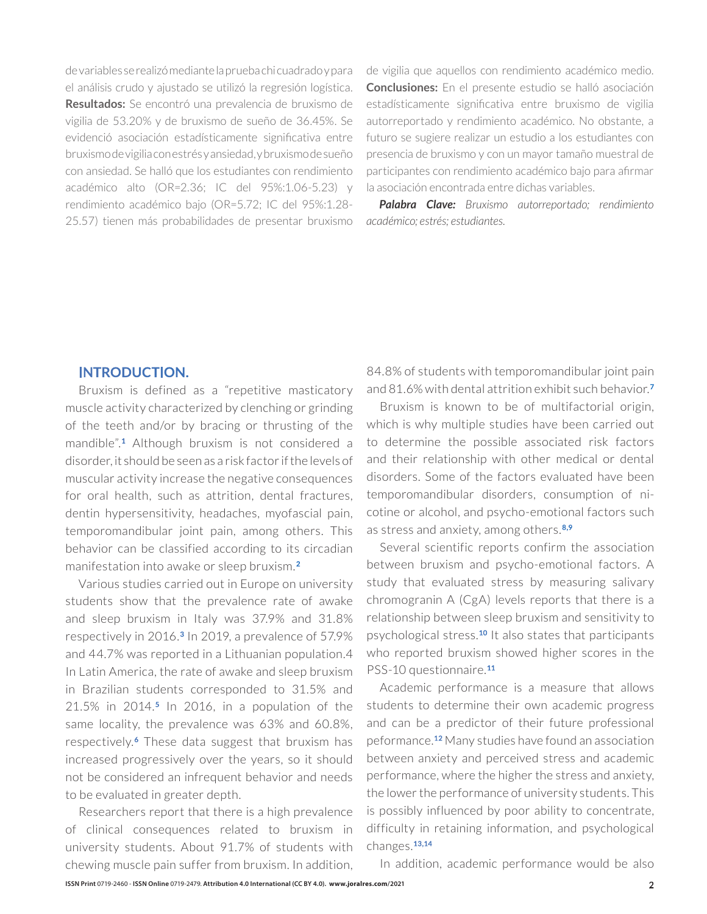de variables se realizó mediante la prueba chi cuadrado y para el análisis crudo y ajustado se utilizó la regresión logística. **Resultados:** Se encontró una prevalencia de bruxismo de vigilia de 53.20% y de bruxismo de sueño de 36.45%. Se evidenció asociación estadísticamente significativa entre bruxismo de vigilia con estrés y ansiedad, y bruxismo de sueño con ansiedad. Se halló que los estudiantes con rendimiento académico alto (OR=2.36; IC del 95%:1.06-5.23) y rendimiento académico bajo (OR=5.72; IC del 95%:1.28- 25.57) tienen más probabilidades de presentar bruxismo

de vigilia que aquellos con rendimiento académico medio. **Conclusiones:** En el presente estudio se halló asociación estadísticamente significativa entre bruxismo de vigilia autorreportado y rendimiento académico. No obstante, a futuro se sugiere realizar un estudio a los estudiantes con presencia de bruxismo y con un mayor tamaño muestral de participantes con rendimiento académico bajo para afirmar la asociación encontrada entre dichas variables.

*Palabra Clave: Bruxismo autorreportado; rendimiento académico; estrés; estudiantes.*

#### **INTRODUCTION.**

Bruxism is defined as a "repetitive masticatory muscle activity characterized by clenching or grinding of the teeth and/or by bracing or thrusting of the mandible".**1** Although bruxism is not considered a disorder, it should be seen as a risk factor if the levels of muscular activity increase the negative consequences for oral health, such as attrition, dental fractures, dentin hypersensitivity, headaches, myofascial pain, temporomandibular joint pain, among others. This behavior can be classified according to its circadian manifestation into awake or sleep bruxism.**<sup>2</sup>**

Various studies carried out in Europe on university students show that the prevalence rate of awake and sleep bruxism in Italy was 37.9% and 31.8% respectively in 2016.**3** In 2019, a prevalence of 57.9% and 44.7% was reported in a Lithuanian population.4 In Latin America, the rate of awake and sleep bruxism in Brazilian students corresponded to 31.5% and 21.5% in 2014.**5** In 2016, in a population of the same locality, the prevalence was 63% and 60.8%, respectively.**6** These data suggest that bruxism has increased progressively over the years, so it should not be considered an infrequent behavior and needs to be evaluated in greater depth.

Researchers report that there is a high prevalence of clinical consequences related to bruxism in university students. About 91.7% of students with chewing muscle pain suffer from bruxism. In addition,

84.8% of students with temporomandibular joint pain and 81.6% with dental attrition exhibit such behavior.**<sup>7</sup>**

Bruxism is known to be of multifactorial origin, which is why multiple studies have been carried out to determine the possible associated risk factors and their relationship with other medical or dental disorders. Some of the factors evaluated have been temporomandibular disorders, consumption of nicotine or alcohol, and psycho-emotional factors such as stress and anxiety, among others.**8,9**

Several scientific reports confirm the association between bruxism and psycho-emotional factors. A study that evaluated stress by measuring salivary chromogranin A (CgA) levels reports that there is a relationship between sleep bruxism and sensitivity to psychological stress.**10** It also states that participants who reported bruxism showed higher scores in the PSS-10 questionnaire.**<sup>11</sup>**

Academic performance is a measure that allows students to determine their own academic progress and can be a predictor of their future professional peformance.**12** Many studies have found an association between anxiety and perceived stress and academic performance, where the higher the stress and anxiety, the lower the performance of university students. This is possibly influenced by poor ability to concentrate, difficulty in retaining information, and psychological changes.**13,14**

In addition, academic performance would be also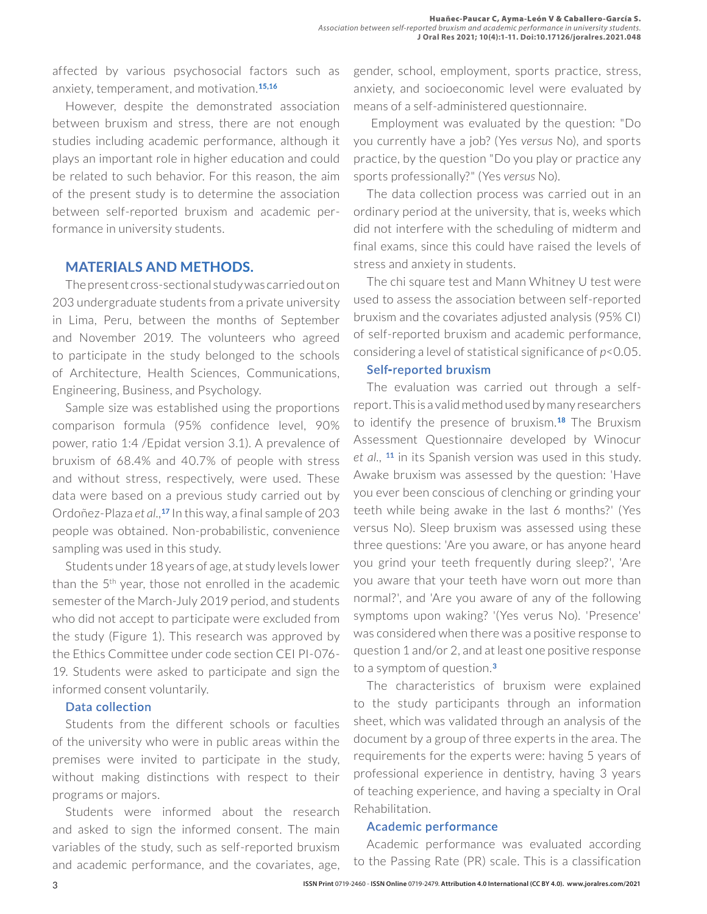affected by various psychosocial factors such as anxiety, temperament, and motivation.**15,16**

However, despite the demonstrated association between bruxism and stress, there are not enough studies including academic performance, although it plays an important role in higher education and could be related to such behavior. For this reason, the aim of the present study is to determine the association between self-reported bruxism and academic performance in university students.

## **MATERIALS AND METHODS.**

The present cross-sectional study was carried out on 203 undergraduate students from a private university in Lima, Peru, between the months of September and November 2019. The volunteers who agreed to participate in the study belonged to the schools of Architecture, Health Sciences, Communications, Engineering, Business, and Psychology.

Sample size was established using the proportions comparison formula (95% confidence level, 90% power, ratio 1:4 /Epidat version 3.1). A prevalence of bruxism of 68.4% and 40.7% of people with stress and without stress, respectively, were used. These data were based on a previous study carried out by Ordoñez-Plaza *et al.,***<sup>17</sup>** In this way, a final sample of 203 people was obtained. Non-probabilistic, convenience sampling was used in this study.

Students under 18 years of age, at study levels lower than the  $5<sup>th</sup>$  year, those not enrolled in the academic semester of the March-July 2019 period, and students who did not accept to participate were excluded from the study (Figure 1). This research was approved by the Ethics Committee under code section CEI PI-076- 19. Students were asked to participate and sign the informed consent voluntarily.

#### **Data collection**

Students from the different schools or faculties of the university who were in public areas within the premises were invited to participate in the study, without making distinctions with respect to their programs or majors.

Students were informed about the research and asked to sign the informed consent. The main variables of the study, such as self-reported bruxism and academic performance, and the covariates, age,

gender, school, employment, sports practice, stress, anxiety, and socioeconomic level were evaluated by means of a self-administered questionnaire.

 Employment was evaluated by the question: "Do you currently have a job? (Yes *versus* No), and sports practice, by the question "Do you play or practice any sports professionally?" (Yes *versus* No).

The data collection process was carried out in an ordinary period at the university, that is, weeks which did not interfere with the scheduling of midterm and final exams, since this could have raised the levels of stress and anxiety in students.

The chi square test and Mann Whitney U test were used to assess the association between self-reported bruxism and the covariates adjusted analysis (95% CI) of self-reported bruxism and academic performance, considering a level of statistical significance of *p*<0.05.

#### **Self-reported bruxism**

The evaluation was carried out through a selfreport. This is a valid method used by many researchers to identify the presence of bruxism.**18** The Bruxism Assessment Questionnaire developed by Winocur *et al.,* **<sup>11</sup>** in its Spanish version was used in this study. Awake bruxism was assessed by the question: 'Have you ever been conscious of clenching or grinding your teeth while being awake in the last 6 months?' (Yes versus No). Sleep bruxism was assessed using these three questions: 'Are you aware, or has anyone heard you grind your teeth frequently during sleep?', 'Are you aware that your teeth have worn out more than normal?', and 'Are you aware of any of the following symptoms upon waking? '(Yes verus No). 'Presence' was considered when there was a positive response to question 1 and/or 2, and at least one positive response to a symptom of question.**<sup>3</sup>**

The characteristics of bruxism were explained to the study participants through an information sheet, which was validated through an analysis of the document by a group of three experts in the area. The requirements for the experts were: having 5 years of professional experience in dentistry, having 3 years of teaching experience, and having a specialty in Oral Rehabilitation.

#### **Academic performance**

Academic performance was evaluated according to the Passing Rate (PR) scale. This is a classification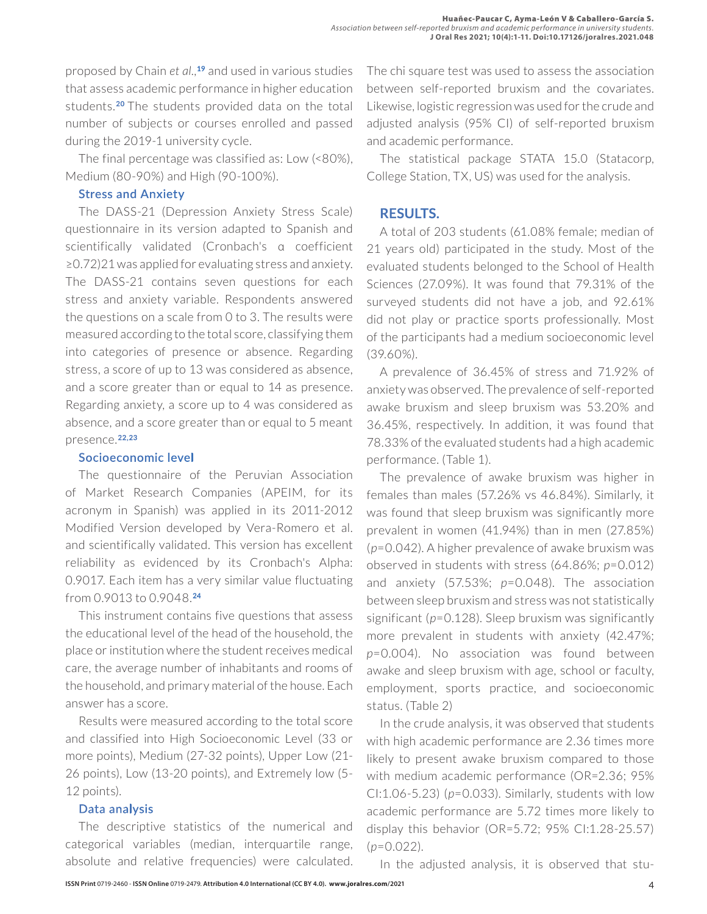proposed by Chain *et al.,***<sup>19</sup>** and used in various studies that assess academic performance in higher education students.**20** The students provided data on the total number of subjects or courses enrolled and passed during the 2019-1 university cycle.

The final percentage was classified as: Low (<80%), Medium (80-90%) and High (90-100%).

#### **Stress and Anxiety**

The DASS-21 (Depression Anxiety Stress Scale) questionnaire in its version adapted to Spanish and scientifically validated (Cronbach's α coefficient ≥0.72)21 was applied for evaluating stress and anxiety. The DASS-21 contains seven questions for each stress and anxiety variable. Respondents answered the questions on a scale from 0 to 3. The results were measured according to the total score, classifying them into categories of presence or absence. Regarding stress, a score of up to 13 was considered as absence, and a score greater than or equal to 14 as presence. Regarding anxiety, a score up to 4 was considered as absence, and a score greater than or equal to 5 meant presence.**22,23**

#### **Socioeconomic level**

The questionnaire of the Peruvian Association of Market Research Companies (APEIM, for its acronym in Spanish) was applied in its 2011-2012 Modified Version developed by Vera-Romero et al. and scientifically validated. This version has excellent reliability as evidenced by its Cronbach's Alpha: 0.9017. Each item has a very similar value fluctuating from 0.9013 to 0.9048.**<sup>24</sup>**

This instrument contains five questions that assess the educational level of the head of the household, the place or institution where the student receives medical care, the average number of inhabitants and rooms of the household, and primary material of the house. Each answer has a score.

Results were measured according to the total score and classified into High Socioeconomic Level (33 or more points), Medium (27-32 points), Upper Low (21- 26 points), Low (13-20 points), and Extremely low (5- 12 points).

## **Data analysis**

The descriptive statistics of the numerical and categorical variables (median, interquartile range, absolute and relative frequencies) were calculated.

The chi square test was used to assess the association between self-reported bruxism and the covariates. Likewise, logistic regression was used for the crude and adjusted analysis (95% CI) of self-reported bruxism and academic performance.

The statistical package STATA 15.0 (Statacorp, College Station, TX, US) was used for the analysis.

## **RESULTS.**

A total of 203 students (61.08% female; median of 21 years old) participated in the study. Most of the evaluated students belonged to the School of Health Sciences (27.09%). It was found that 79.31% of the surveyed students did not have a job, and 92.61% did not play or practice sports professionally. Most of the participants had a medium socioeconomic level (39.60%).

A prevalence of 36.45% of stress and 71.92% of anxiety was observed. The prevalence of self-reported awake bruxism and sleep bruxism was 53.20% and 36.45%, respectively. In addition, it was found that 78.33% of the evaluated students had a high academic performance. (Table 1).

The prevalence of awake bruxism was higher in females than males (57.26% vs 46.84%). Similarly, it was found that sleep bruxism was significantly more prevalent in women (41.94%) than in men (27.85%) (*p*=0.042). A higher prevalence of awake bruxism was observed in students with stress (64.86%; *p*=0.012) and anxiety (57.53%; *p*=0.048). The association between sleep bruxism and stress was not statistically significant (*p*=0.128). Sleep bruxism was significantly more prevalent in students with anxiety (42.47%; *p*=0.004). No association was found between awake and sleep bruxism with age, school or faculty, employment, sports practice, and socioeconomic status. (Table 2)

In the crude analysis, it was observed that students with high academic performance are 2.36 times more likely to present awake bruxism compared to those with medium academic performance (OR=2.36; 95% CI:1.06-5.23) (*p*=0.033). Similarly, students with low academic performance are 5.72 times more likely to display this behavior (OR=5.72; 95% CI:1.28-25.57) (*p*=0.022).

In the adjusted analysis, it is observed that stu-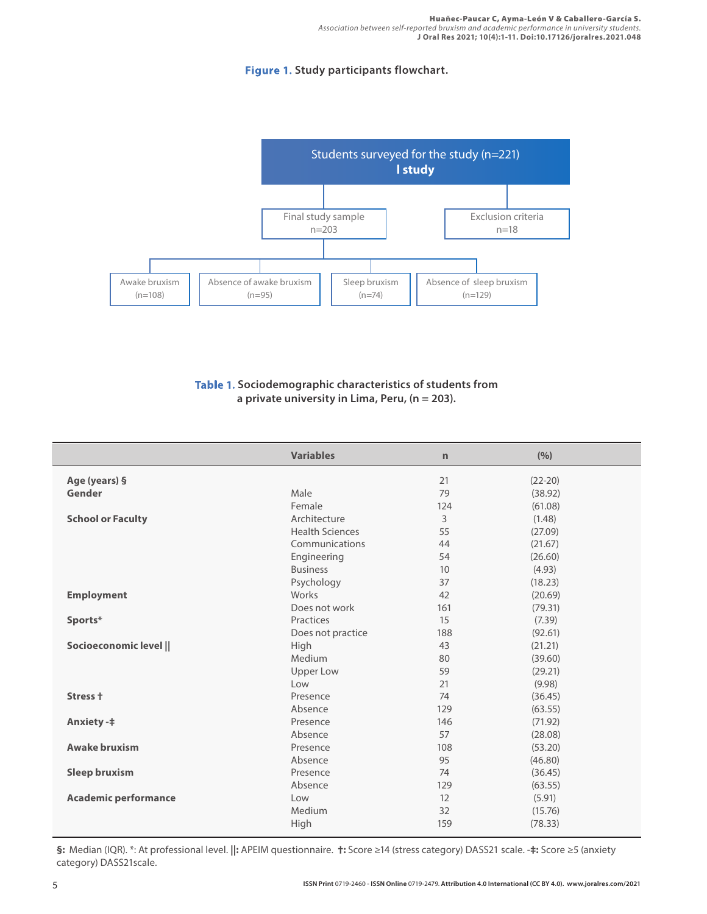#### **Figure 1. Study participants flowchart.**



#### **Table 1. Sociodemographic characteristics of students from a private university in Lima, Peru, (n = 203).**

|                             | <b>Variables</b>       | $\mathsf{r}$ | (%)       |
|-----------------------------|------------------------|--------------|-----------|
| Age (years) §               |                        | 21           | $(22-20)$ |
| Gender                      | Male                   | 79           | (38.92)   |
|                             | Female                 | 124          | (61.08)   |
| <b>School or Faculty</b>    | Architecture           | 3            | (1.48)    |
|                             | <b>Health Sciences</b> | 55           | (27.09)   |
|                             | Communications         | 44           | (21.67)   |
|                             | Engineering            | 54           | (26.60)   |
|                             | <b>Business</b>        | 10           | (4.93)    |
|                             | Psychology             | 37           | (18.23)   |
| <b>Employment</b>           | Works                  | 42           | (20.69)   |
|                             | Does not work          | 161          | (79.31)   |
| Sports*                     | Practices              | 15           | (7.39)    |
|                             | Does not practice      | 188          | (92.61)   |
| Socioeconomic level         | High                   | 43           | (21.21)   |
|                             | Medium                 | 80           | (39.60)   |
|                             | <b>Upper Low</b>       | 59           | (29.21)   |
|                             | Low                    | 21           | (9.98)    |
| Stress +                    | Presence               | 74           | (36.45)   |
|                             | Absence                | 129          | (63.55)   |
| <b>Anxiety-‡</b>            | Presence               | 146          | (71.92)   |
|                             | Absence                | 57           | (28.08)   |
| <b>Awake bruxism</b>        | Presence               | 108          | (53.20)   |
|                             | Absence                | 95           | (46.80)   |
| <b>Sleep bruxism</b>        | Presence               | 74           | (36.45)   |
|                             | Absence                | 129          | (63.55)   |
| <b>Academic performance</b> | Low                    | 12           | (5.91)    |
|                             | Medium                 | 32           | (15.76)   |
|                             | High                   | 159          | (78.33)   |

**§:** Median (IQR). \*: At professional level. **||:** APEIM questionnaire. **†:** Score ≥14 (stress category) DASS21 scale. -**‡:** Score ≥5 (anxiety category) DASS21scale.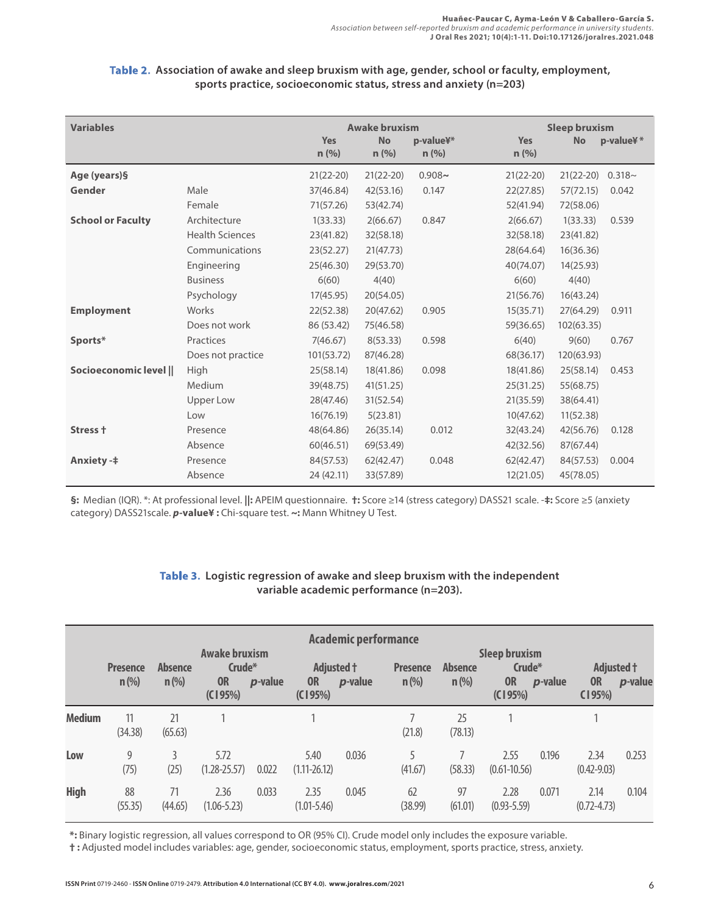#### **Table 2. Association of awake and sleep bruxism with age, gender, school or faculty, employment, sports practice, socioeconomic status, stress and anxiety (n=203)**

| <b>Variables</b>         |                        |                | <b>Awake bruxism</b> |                      | <b>Sleep bruxism</b>  |             |           |  |
|--------------------------|------------------------|----------------|----------------------|----------------------|-----------------------|-------------|-----------|--|
|                          |                        | Yes<br>$n$ (%) | <b>No</b><br>n(%)    | p-value¥*<br>$n$ (%) | <b>Yes</b><br>$n$ (%) | <b>No</b>   | p-value¥* |  |
| Age (years)§             |                        | $21(22-20)$    | $21(22-20)$          | $0.908 -$            | $21(22-20)$           | $21(22-20)$ | $0.318 -$ |  |
| Gender                   | Male                   | 37(46.84)      | 42(53.16)            | 0.147                | 22(27.85)             | 57(72.15)   | 0.042     |  |
|                          | Female                 | 71(57.26)      | 53(42.74)            |                      | 52(41.94)             | 72(58.06)   |           |  |
| <b>School or Faculty</b> | Architecture           | 1(33.33)       | 2(66.67)             | 0.847                | 2(66.67)              | 1(33.33)    | 0.539     |  |
|                          | <b>Health Sciences</b> | 23(41.82)      | 32(58.18)            |                      | 32(58.18)             | 23(41.82)   |           |  |
|                          | Communications         | 23(52.27)      | 21(47.73)            |                      | 28(64.64)             | 16(36.36)   |           |  |
|                          | Engineering            | 25(46.30)      | 29(53.70)            |                      | 40(74.07)             | 14(25.93)   |           |  |
|                          | <b>Business</b>        | 6(60)          | 4(40)                |                      | 6(60)                 | 4(40)       |           |  |
|                          | Psychology             | 17(45.95)      | 20(54.05)            |                      | 21(56.76)             | 16(43.24)   |           |  |
| <b>Employment</b>        | Works                  | 22(52.38)      | 20(47.62)            | 0.905                | 15(35.71)             | 27(64.29)   | 0.911     |  |
|                          | Does not work          | 86 (53.42)     | 75(46.58)            |                      | 59(36.65)             | 102(63.35)  |           |  |
| Sports*                  | Practices              | 7(46.67)       | 8(53.33)             | 0.598                | 6(40)                 | 9(60)       | 0.767     |  |
|                          | Does not practice      | 101(53.72)     | 87(46.28)            |                      | 68(36.17)             | 120(63.93)  |           |  |
| Socioeconomic level      | High                   | 25(58.14)      | 18(41.86)            | 0.098                | 18(41.86)             | 25(58.14)   | 0.453     |  |
|                          | Medium                 | 39(48.75)      | 41(51.25)            |                      | 25(31.25)             | 55(68.75)   |           |  |
|                          | Upper Low              | 28(47.46)      | 31(52.54)            |                      | 21(35.59)             | 38(64.41)   |           |  |
|                          | Low                    | 16(76.19)      | 5(23.81)             |                      | 10(47.62)             | 11(52.38)   |           |  |
| Stress +                 | Presence               | 48(64.86)      | 26(35.14)            | 0.012                | 32(43.24)             | 42(56.76)   | 0.128     |  |
|                          | Absence                | 60(46.51)      | 69(53.49)            |                      | 42(32.56)             | 87(67.44)   |           |  |
| <b>Anxiety-‡</b>         | Presence               | 84(57.53)      | 62(42.47)            | 0.048                | 62(42.47)             | 84(57.53)   | 0.004     |  |
|                          | Absence                | 24 (42.11)     | 33(57.89)            |                      | 12(21.05)             | 45(78.05)   |           |  |

**§:** Median (IQR). \*: At professional level. **||:** APEIM questionnaire. **†:** Score ≥14 (stress category) DASS21 scale. -**‡:** Score ≥5 (anxiety category) DASS21scale. *p***-value¥ :** Chi-square test. **~:** Mann Whitney U Test.

## **Table 3. Logistic regression of awake and sleep bruxism with the independent variable academic performance (n=203).**

| <b>Academic performance</b><br><b>Awake bruxism</b><br><b>Sleep bruxism</b> |                            |                           |                                |                 |                                    |         |                            |                           |                                |                 |                                   |                 |
|-----------------------------------------------------------------------------|----------------------------|---------------------------|--------------------------------|-----------------|------------------------------------|---------|----------------------------|---------------------------|--------------------------------|-----------------|-----------------------------------|-----------------|
|                                                                             | <b>Presence</b><br>$n$ (%) | <b>Absence</b><br>$n$ (%) | Crude*<br><b>OR</b><br>(C195%) | <i>p</i> -value | Adjusted +<br><b>OR</b><br>(C195%) | p-value | <b>Presence</b><br>$n$ (%) | <b>Absence</b><br>$n$ (%) | Crude*<br><b>OR</b><br>(C195%) | <i>p</i> -value | Adjusted †<br><b>OR</b><br>(195%) | <i>p</i> -value |
| <b>Medium</b>                                                               | 11<br>(34.38)              | 21<br>(65.63)             |                                |                 |                                    |         | (21.8)                     | 25<br>(78.13)             |                                |                 |                                   |                 |
| Low                                                                         | 9<br>(75)                  | (25)                      | 5.72<br>$(1.28 - 25.57)$       | 0.022           | 5.40<br>$(1.11 - 26.12)$           | 0.036   | 5<br>(41.67)               | (58.33)                   | 2.55<br>$(0.61 - 10.56)$       | 0.196           | 2.34<br>$(0.42 - 9.03)$           | 0.253           |
| <b>High</b>                                                                 | 88<br>(55.35)              | (44.65)                   | 2.36<br>$(1.06 - 5.23)$        | 0.033           | 2.35<br>$(1.01 - 5.46)$            | 0.045   | 62<br>(38.99)              | 97<br>(61.01)             | 2.28<br>$(0.93 - 5.59)$        | 0.071           | 2.14<br>$(0.72 - 4.73)$           | 0.104           |

**\*:** Binary logistic regression, all values correspond to OR (95% CI). Crude model only includes the exposure variable.

**† :** Adjusted model includes variables: age, gender, socioeconomic status, employment, sports practice, stress, anxiety.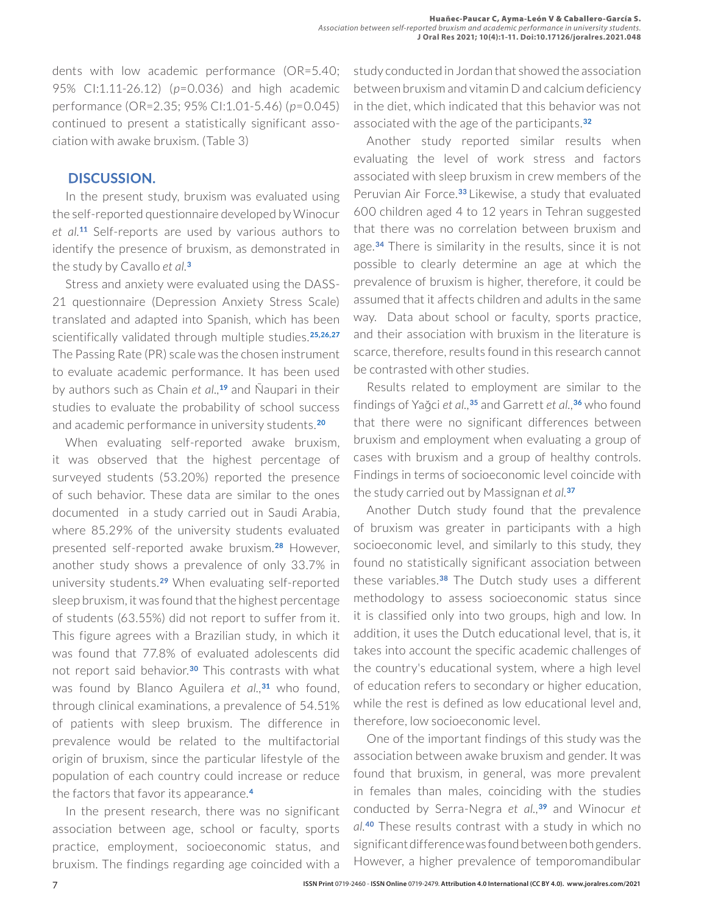dents with low academic performance (OR=5.40; 95% CI:1.11-26.12) (*p*=0.036) and high academic performance (OR=2.35; 95% CI:1.01-5.46) (*p*=0.045) continued to present a statistically significant association with awake bruxism. (Table 3)

## **DISCUSSION.**

In the present study, bruxism was evaluated using the self-reported questionnaire developed by Winocur *et al.***<sup>11</sup>** Self-reports are used by various authors to identify the presence of bruxism, as demonstrated in the study by Cavallo *et al.***<sup>3</sup>**

Stress and anxiety were evaluated using the DASS-21 questionnaire (Depression Anxiety Stress Scale) translated and adapted into Spanish, which has been scientifically validated through multiple studies.**25,26,27** The Passing Rate (PR) scale was the chosen instrument to evaluate academic performance. It has been used by authors such as Chain *et al.,***<sup>19</sup>** and Ñaupari in their studies to evaluate the probability of school success and academic performance in university students.**<sup>20</sup>**

When evaluating self-reported awake bruxism, it was observed that the highest percentage of surveyed students (53.20%) reported the presence of such behavior. These data are similar to the ones documented in a study carried out in Saudi Arabia, where 85.29% of the university students evaluated presented self-reported awake bruxism.**28** However, another study shows a prevalence of only 33.7% in university students.**29** When evaluating self-reported sleep bruxism, it was found that the highest percentage of students (63.55%) did not report to suffer from it. This figure agrees with a Brazilian study, in which it was found that 77.8% of evaluated adolescents did not report said behavior.**30** This contrasts with what was found by Blanco Aguilera *et al.,***<sup>31</sup>** who found, through clinical examinations, a prevalence of 54.51% of patients with sleep bruxism. The difference in prevalence would be related to the multifactorial origin of bruxism, since the particular lifestyle of the population of each country could increase or reduce the factors that favor its appearance.**<sup>4</sup>**

In the present research, there was no significant association between age, school or faculty, sports practice, employment, socioeconomic status, and bruxism. The findings regarding age coincided with a study conducted in Jordan that showed the association between bruxism and vitamin D and calcium deficiency in the diet, which indicated that this behavior was not associated with the age of the participants.**<sup>32</sup>**

Another study reported similar results when evaluating the level of work stress and factors associated with sleep bruxism in crew members of the Peruvian Air Force.**33** Likewise, a study that evaluated 600 children aged 4 to 12 years in Tehran suggested that there was no correlation between bruxism and age.**34** There is similarity in the results, since it is not possible to clearly determine an age at which the prevalence of bruxism is higher, therefore, it could be assumed that it affects children and adults in the same way. Data about school or faculty, sports practice, and their association with bruxism in the literature is scarce, therefore, results found in this research cannot be contrasted with other studies.

Results related to employment are similar to the findings of Yağci *et al.,***<sup>35</sup>** and Garrett *et al.,***<sup>36</sup>** who found that there were no significant differences between bruxism and employment when evaluating a group of cases with bruxism and a group of healthy controls. Findings in terms of socioeconomic level coincide with the study carried out by Massignan *et al.***<sup>37</sup>**

Another Dutch study found that the prevalence of bruxism was greater in participants with a high socioeconomic level, and similarly to this study, they found no statistically significant association between these variables.**38** The Dutch study uses a different methodology to assess socioeconomic status since it is classified only into two groups, high and low. In addition, it uses the Dutch educational level, that is, it takes into account the specific academic challenges of the country's educational system, where a high level of education refers to secondary or higher education, while the rest is defined as low educational level and, therefore, low socioeconomic level.

One of the important findings of this study was the association between awake bruxism and gender. It was found that bruxism, in general, was more prevalent in females than males, coinciding with the studies conducted by Serra-Negra *et al.,***<sup>39</sup>** and Winocur *et al.***<sup>40</sup>** These results contrast with a study in which no significant difference was found between both genders. However, a higher prevalence of temporomandibular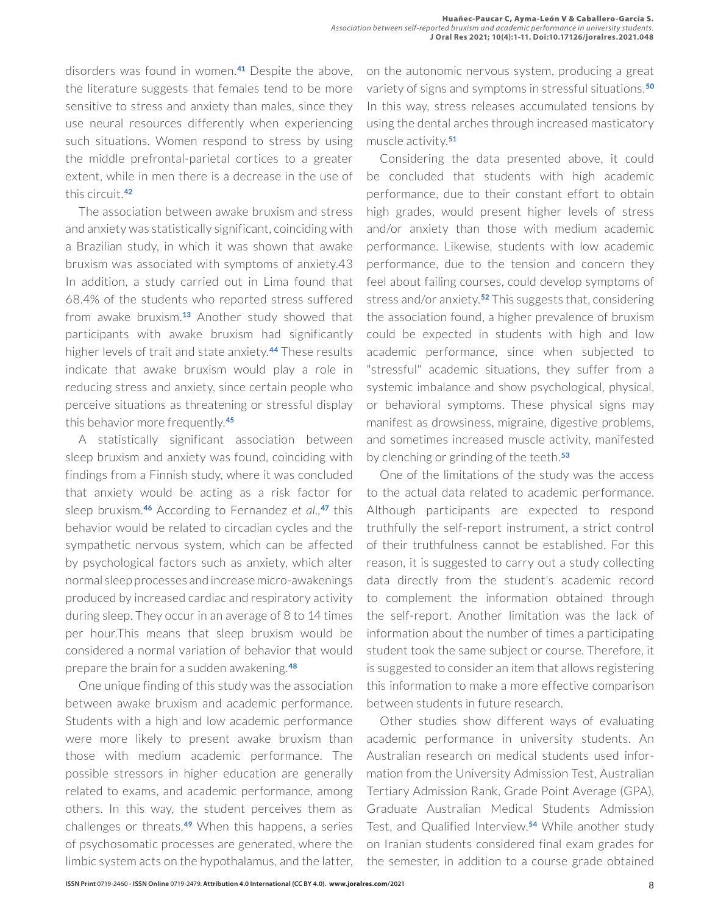disorders was found in women.**41** Despite the above, the literature suggests that females tend to be more sensitive to stress and anxiety than males, since they use neural resources differently when experiencing such situations. Women respond to stress by using the middle prefrontal-parietal cortices to a greater extent, while in men there is a decrease in the use of this circuit.**<sup>42</sup>**

The association between awake bruxism and stress and anxiety was statistically significant, coinciding with a Brazilian study, in which it was shown that awake bruxism was associated with symptoms of anxiety.43 In addition, a study carried out in Lima found that 68.4% of the students who reported stress suffered from awake bruxism.**13** Another study showed that participants with awake bruxism had significantly higher levels of trait and state anxiety.**44** These results indicate that awake bruxism would play a role in reducing stress and anxiety, since certain people who perceive situations as threatening or stressful display this behavior more frequently.**<sup>45</sup>**

A statistically significant association between sleep bruxism and anxiety was found, coinciding with findings from a Finnish study, where it was concluded that anxiety would be acting as a risk factor for sleep bruxism.**46** According to Fernandez *et al.,***<sup>47</sup>** this behavior would be related to circadian cycles and the sympathetic nervous system, which can be affected by psychological factors such as anxiety, which alter normal sleep processes and increase micro-awakenings produced by increased cardiac and respiratory activity during sleep. They occur in an average of 8 to 14 times per hour.This means that sleep bruxism would be considered a normal variation of behavior that would prepare the brain for a sudden awakening.**<sup>48</sup>**

One unique finding of this study was the association between awake bruxism and academic performance. Students with a high and low academic performance were more likely to present awake bruxism than those with medium academic performance. The possible stressors in higher education are generally related to exams, and academic performance, among others. In this way, the student perceives them as challenges or threats.**49** When this happens, a series of psychosomatic processes are generated, where the limbic system acts on the hypothalamus, and the latter,

on the autonomic nervous system, producing a great variety of signs and symptoms in stressful situations.**<sup>50</sup>** In this way, stress releases accumulated tensions by using the dental arches through increased masticatory muscle activity.**<sup>51</sup>**

Considering the data presented above, it could be concluded that students with high academic performance, due to their constant effort to obtain high grades, would present higher levels of stress and/or anxiety than those with medium academic performance. Likewise, students with low academic performance, due to the tension and concern they feel about failing courses, could develop symptoms of stress and/or anxiety.**52** This suggests that, considering the association found, a higher prevalence of bruxism could be expected in students with high and low academic performance, since when subjected to "stressful" academic situations, they suffer from a systemic imbalance and show psychological, physical, or behavioral symptoms. These physical signs may manifest as drowsiness, migraine, digestive problems, and sometimes increased muscle activity, manifested by clenching or grinding of the teeth.**<sup>53</sup>**

One of the limitations of the study was the access to the actual data related to academic performance. Although participants are expected to respond truthfully the self-report instrument, a strict control of their truthfulness cannot be established. For this reason, it is suggested to carry out a study collecting data directly from the student's academic record to complement the information obtained through the self-report. Another limitation was the lack of information about the number of times a participating student took the same subject or course. Therefore, it is suggested to consider an item that allows registering this information to make a more effective comparison between students in future research.

Other studies show different ways of evaluating academic performance in university students. An Australian research on medical students used information from the University Admission Test, Australian Tertiary Admission Rank, Grade Point Average (GPA), Graduate Australian Medical Students Admission Test, and Qualified Interview.**54** While another study on Iranian students considered final exam grades for the semester, in addition to a course grade obtained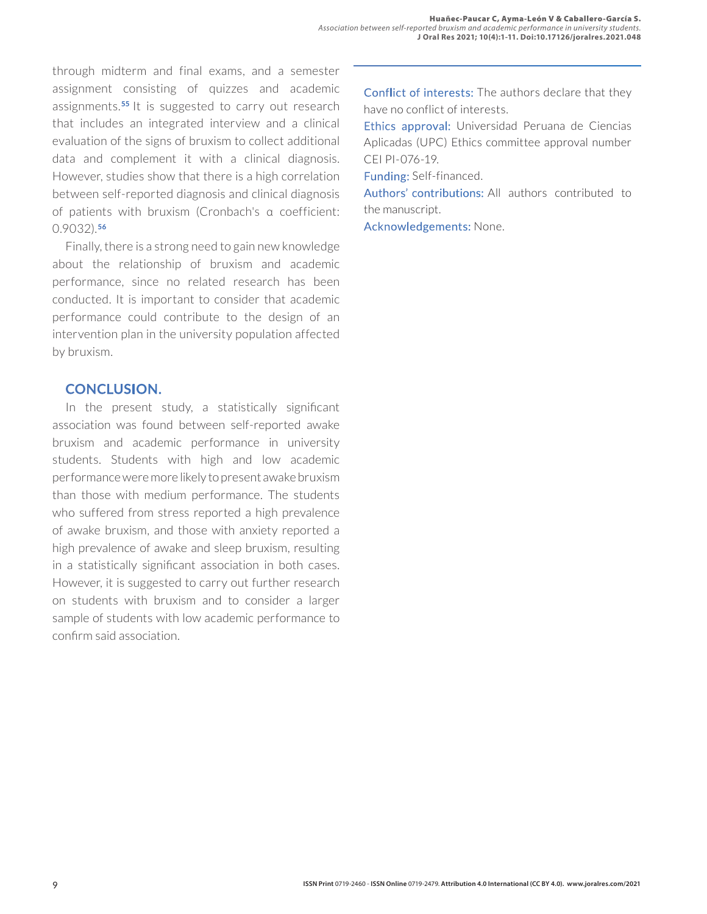through midterm and final exams, and a semester assignment consisting of quizzes and academic assignments.**55** It is suggested to carry out research that includes an integrated interview and a clinical evaluation of the signs of bruxism to collect additional data and complement it with a clinical diagnosis. However, studies show that there is a high correlation between self-reported diagnosis and clinical diagnosis of patients with bruxism (Cronbach's α coefficient: 0.9032).**<sup>56</sup>**

Finally, there is a strong need to gain new knowledge about the relationship of bruxism and academic performance, since no related research has been conducted. It is important to consider that academic performance could contribute to the design of an intervention plan in the university population affected by bruxism.

## **CONCLUSION.**

In the present study, a statistically significant association was found between self-reported awake bruxism and academic performance in university students. Students with high and low academic performance were more likely to present awake bruxism than those with medium performance. The students who suffered from stress reported a high prevalence of awake bruxism, and those with anxiety reported a high prevalence of awake and sleep bruxism, resulting in a statistically significant association in both cases. However, it is suggested to carry out further research on students with bruxism and to consider a larger sample of students with low academic performance to confirm said association.

Conflict of interests: The authors declare that they have no conflict of interests.

Ethics approval: Universidad Peruana de Ciencias Aplicadas (UPC) Ethics committee approval number CEI PI-076-19.

Funding: Self-financed.

Authors' contributions: All authors contributed to the manuscript.

Acknowledgements: None.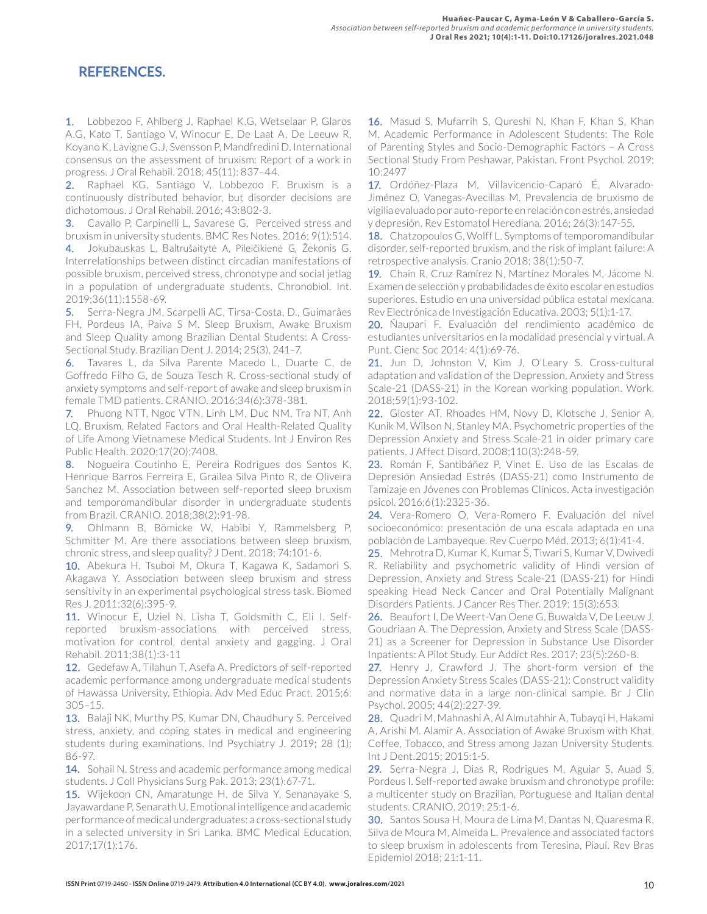# **REFERENCES.**

1. Lobbezoo F, Ahlberg J, Raphael K.G, Wetselaar P, Glaros A.G, Kato T, Santiago V, Winocur E, De Laat A, De Leeuw R, Koyano K, Lavigne G.J, Svensson P, Mandfredini D. International consensus on the assessment of bruxism: Report of a work in progress. J Oral Rehabil. 2018; 45(11): 837–44.

2. Raphael KG, Santiago V, Lobbezoo F. Bruxism is a continuously distributed behavior, but disorder decisions are dichotomous. J Oral Rehabil. 2016; 43:802-3.

3. Cavallo P, Carpinelli L, Savarese G. Perceived stress and bruxism in university students. BMC Res Notes. 2016; 9(1):514.

4. Jokubauskas L, Baltrušaitytė A, Pileičikienė G, Žekonis G. Interrelationships between distinct circadian manifestations of possible bruxism, perceived stress, chronotype and social jetlag in a population of undergraduate students. Chronobiol. Int. 2019;36(11):1558-69.

5. Serra-Negra JM, Scarpelli AC, Tirsa-Costa, D., Guimarães FH, Pordeus IA, Paiva S M. Sleep Bruxism, Awake Bruxism and Sleep Quality among Brazilian Dental Students: A Cross-Sectional Study. Brazilian Dent J. 2014; 25(3), 241–7.

6. Tavares L, da Silva Parente Macedo L, Duarte C, de Goffredo Filho G, de Souza Tesch R. Cross-sectional study of anxiety symptoms and self-report of awake and sleep bruxism in female TMD patients. CRANIO. 2016;34(6):378-381.

7. Phuong NTT, Ngoc VTN, Linh LM, Duc NM, Tra NT, Anh LQ. Bruxism, Related Factors and Oral Health-Related Quality of Life Among Vietnamese Medical Students. Int J Environ Res Public Health. 2020;17(20):7408.

8. Nogueira Coutinho E, Pereira Rodrigues dos Santos K, Henrique Barros Ferreira E, Grailea Silva Pinto R, de Oliveira Sanchez M. Association between self-reported sleep bruxism and temporomandibular disorder in undergraduate students from Brazil. CRANIO. 2018;38(2):91-98.

9. Ohlmann B, Bömicke W, Habibi Y, Rammelsberg P, Schmitter M. Are there associations between sleep bruxism, chronic stress, and sleep quality? J Dent. 2018; 74:101-6.

10. Abekura H, Tsuboi M, Okura T, Kagawa K, Sadamori S, Akagawa Y. Association between sleep bruxism and stress sensitivity in an experimental psychological stress task. Biomed Res J. 2011;32(6):395-9.

11. Winocur E, Uziel N, Lisha T, Goldsmith C, Eli I. Selfreported bruxism-associations with perceived stress, motivation for control, dental anxiety and gagging. J Oral Rehabil. 2011;38(1):3-11

12. Gedefaw A, Tilahun T, Asefa A. Predictors of self-reported academic performance among undergraduate medical students of Hawassa University, Ethiopia. Adv Med Educ Pract. 2015;6: 305–15.

13. Balaji NK, Murthy PS, Kumar DN, Chaudhury S. Perceived stress, anxiety, and coping states in medical and engineering students during examinations. Ind Psychiatry J. 2019; 28 (1): 86-97.

**14.** Sohail N. Stress and academic performance among medical students. J Coll Physicians Surg Pak. 2013; 23(1):67-71.

15. Wijekoon CN, Amaratunge H, de Silva Y, Senanayake S, Jayawardane P, Senarath U. Emotional intelligence and academic performance of medical undergraduates: a cross-sectional study in a selected university in Sri Lanka. BMC Medical Education, 2017;17(1):176.

16. Masud S, Mufarrih S, Qureshi N, Khan F, Khan S, Khan M. Academic Performance in Adolescent Students: The Role of Parenting Styles and Socio-Demographic Factors – A Cross Sectional Study From Peshawar, Pakistan. Front Psychol. 2019; 10:2497

17. Ordóñez-Plaza M, Villavicencio-Caparó É, Alvarado-Jiménez O, Vanegas-Avecillas M. Prevalencia de bruxismo de vigilia evaluado por auto-reporte en relación con estrés, ansiedad y depresión. Rev Estomatol Herediana. 2016; 26(3):147-55.

18. Chatzopoulos G, Wolff L. Symptoms of temporomandibular disorder, self-reported bruxism, and the risk of implant failure: A retrospective analysis. Cranio 2018; 38(1):50-7.

19. Chain R, Cruz Ramírez N, Martínez Morales M, Jácome N. Examen de selección y probabilidades de éxito escolar en estudios superiores. Estudio en una universidad pública estatal mexicana. Rev Electrónica de Investigación Educativa. 2003; 5(1):1-17.

20. Ñaupari F. Evaluación del rendimiento académico de estudiantes universitarios en la modalidad presencial y virtual. A Punt. Cienc Soc 2014; 4(1):69-76.

21. Jun D, Johnston V, Kim J, O'Leary S. Cross-cultural adaptation and validation of the Depression, Anxiety and Stress Scale-21 (DASS-21) in the Korean working population. Work. 2018;59(1):93-102.

22. Gloster AT, Rhoades HM, Novy D, Klotsche J, Senior A, Kunik M, Wilson N, Stanley MA. Psychometric properties of the Depression Anxiety and Stress Scale-21 in older primary care patients. J Affect Disord. 2008;110(3):248-59.

23. Román F, Santibáñez P, Vinet E. Uso de las Escalas de Depresión Ansiedad Estrés (DASS-21) como Instrumento de Tamizaje en Jóvenes con Problemas Clínicos. Acta investigación psicol. 2016;6(1):2325-36.

24. Vera-Romero O, Vera-Romero F. Evaluación del nivel socioeconómico: presentación de una escala adaptada en una población de Lambayeque. Rev Cuerpo Méd. 2013; 6(1):41-4.

25. Mehrotra D, Kumar K, Kumar S, Tiwari S, Kumar V, Dwivedi R. Reliability and psychometric validity of Hindi version of Depression, Anxiety and Stress Scale-21 (DASS-21) for Hindi speaking Head Neck Cancer and Oral Potentially Malignant Disorders Patients. J Cancer Res Ther. 2019; 15(3):653.

26. Beaufort I, De Weert-Van Oene G, Buwalda V, De Leeuw J, Goudriaan A. The Depression, Anxiety and Stress Scale (DASS-21) as a Screener for Depression in Substance Use Disorder Inpatients: A Pilot Study. Eur Addict Res. 2017; 23(5):260-8.

27. Henry J, Crawford J. The short-form version of the Depression Anxiety Stress Scales (DASS-21): Construct validity and normative data in a large non-clinical sample. Br J Clin Psychol. 2005; 44(2):227-39.

28. Quadri M, Mahnashi A, Al Almutahhir A, Tubayqi H, Hakami A, Arishi M. Alamir A. Association of Awake Bruxism with Khat, Coffee, Tobacco, and Stress among Jazan University Students. Int J Dent.2015; 2015:1-5.

29. Serra-Negra J, Dias R, Rodrigues M, Aguiar S, Auad S, Pordeus I. Self-reported awake bruxism and chronotype profile: a multicenter study on Brazilian, Portuguese and Italian dental students. CRANIO. 2019; 25:1-6.

30. Santos Sousa H, Moura de Lima M, Dantas N, Quaresma R, Silva de Moura M, Almeida L. Prevalence and associated factors to sleep bruxism in adolescents from Teresina, Piauí. Rev Bras Epidemiol 2018; 21:1-11.